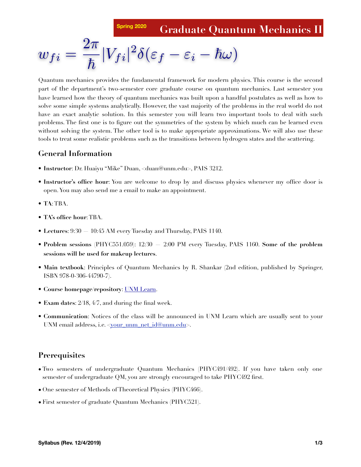**Spring 2020 Graduate Quantum Mechanics II**

$$
w_{fi} = \frac{2\pi}{\hbar} |V_{fi}|^2 \delta(\varepsilon_f - \varepsilon_i - \hbar \omega)
$$

Quantum mechanics provides the fundamental framework for modern physics. This course is the second part of the department's two-semester core graduate course on quantum mechanics. Last semester you have learned how the theory of quantum mechanics was built upon a handful postulates as well as how to solve some simple systems analytically. However, the vast majority of the problems in the real world do not have an exact analytic solution. In this semester you will learn two important tools to deal with such problems. The first one is to figure out the symmetries of the system by which much can be learned even without solving the system. The other tool is to make appropriate approximations. We will also use these tools to treat some realistic problems such as the transitions between hydrogen states and the scattering.

#### **General Information**

- **Instructor**: Dr. Huaiyu "Mike" Duan, [<duan@unm.edu>](mailto:duan@unm.edu), PAIS 3212.
- **Instructor's office hour**: You are welcome to drop by and discuss physics whenever my office door is open. You may also send me a email to make an appointment.
- **TA**: TBA.
- **TA's office hour**: TBA.
- **Lectures**: 9:30 10:45 AM every Tuesday and Thursday, PAIS 1140.
- **Problem sessions** (PHYC551.059): 12:30 2:00 PM every Tuesday, PAIS 1160. **Some of the problem sessions will be used for makeup lectures**.
- **Main textbook**: Principles of Quantum Mechanics by R. Shankar (2nd edition, published by Springer, ISBN 978-0-306-44790-7).
- **Course homepage/repository**: [UNM Learn](https://learn.unm.edu/).
- **Exam dates**: 2/18, 4/7, and during the final week.
- **Communication**: Notices of the class will be announced in UNM Learn which are usually sent to your UNM email address, i.e.  $\langle \text{your unm net id@unm.edu} \rangle$ .

#### **Prerequisites**

- Two semesters of undergraduate Quantum Mechanics (PHYC491/492). If you have taken only one semester of undergraduate QM, you are strongly encouraged to take PHYC492 first.
- One semester of Methods of Theoretical Physics (PHYC466).
- First semester of graduate Quantum Mechanics (PHYC521).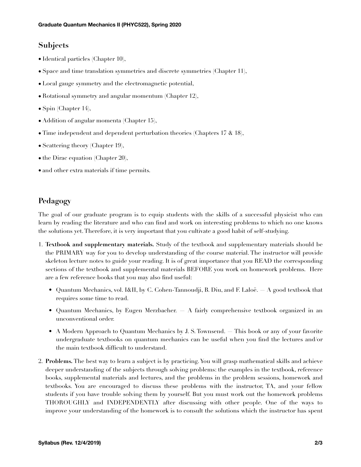# **Subjects**

- Identical particles (Chapter 10),
- Space and time translation symmetries and discrete symmetries (Chapter 11),
- Local gauge symmetry and the electromagnetic potential,
- Rotational symmetry and angular momentum (Chapter 12),
- Spin (Chapter 14),
- Addition of angular momenta (Chapter 15),
- Time independent and dependent perturbation theories (Chapters 17  $\&$  18),
- Scattering theory (Chapter 19),
- the Dirac equation (Chapter 20),
- and other extra materials if time permits.

## **Pedagogy**

The goal of our graduate program is to equip students with the skills of a successful physicist who can learn by reading the literature and who can find and work on interesting problems to which no one knows the solutions yet. Therefore, it is very important that you cultivate a good habit of self-studying.

- 1. **Textbook and supplementary materials.** Study of the textbook and supplementary materials should be the PRIMARY way for you to develop understanding of the course material. The instructor will provide skeleton lecture notes to guide your reading. It is of great importance that you READ the corresponding sections of the textbook and supplemental materials BEFORE you work on homework problems. Here are a few reference books that you may also find useful:
	- Quantum Mechanics, vol. I&II, by C. Cohen-Tannoudji, B. Diu, and F. Laloë. A good textbook that requires some time to read.
	- Quantum Mechanics, by Eugen Merzbacher. A fairly comprehensive textbook organized in an unconventional order.
	- A Modern Approach to Quantum Mechanics by J. S. Townsend. This book or any of your favorite undergraduate textbooks on quantum mechanics can be useful when you find the lectures and/or the main textbook difficult to understand.
- 2. **Problems.** The best way to learn a subject is by practicing. You will grasp mathematical skills and achieve deeper understanding of the subjects through solving problems: the examples in the textbook, reference books, supplemental materials and lectures, and the problems in the problem sessions, homework and textbooks. You are encouraged to discuss these problems with the instructor, TA, and your fellow students if you have trouble solving them by yourself. But you must work out the homework problems THOROUGHLY and INDEPENDENTLY after discussing with other people. One of the ways to improve your understanding of the homework is to consult the solutions which the instructor has spent